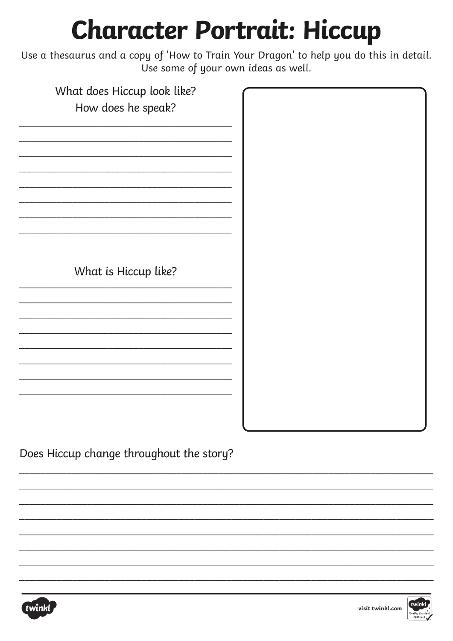## **Character Portrait: Hiccup**

Use a thesaurus and a copy of 'How to Train Your Dragon' to help you do this in detail. Use some of your own ideas as well.

| What does Hiccup look like? |  |
|-----------------------------|--|
| How does he speak?          |  |
|                             |  |
|                             |  |
|                             |  |
|                             |  |
|                             |  |
|                             |  |
|                             |  |
|                             |  |
|                             |  |
|                             |  |
|                             |  |
|                             |  |
|                             |  |
| What is Hiccup like?        |  |
|                             |  |
|                             |  |
|                             |  |
|                             |  |
|                             |  |
|                             |  |
|                             |  |
|                             |  |
|                             |  |
|                             |  |
|                             |  |
|                             |  |
|                             |  |

Does Hiccup change throughout the story?



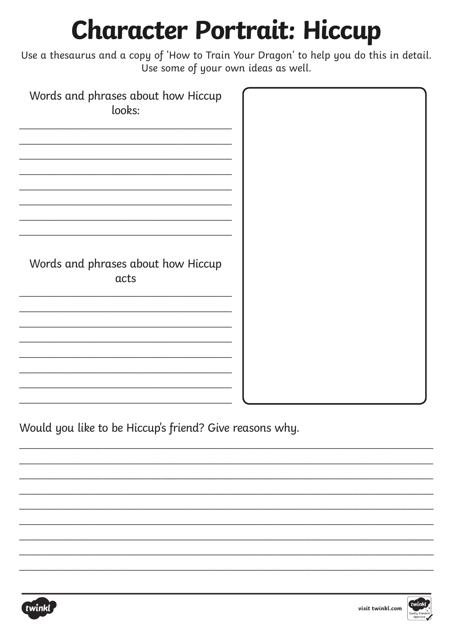## **Character Portrait: Hiccup**

Use a thesaurus and a copy of 'How to Train Your Dragon' to help you do this in detail. Use some of your own ideas as well.

| Words and phrases about how Hiccup<br>looks: |  |
|----------------------------------------------|--|
|                                              |  |
| Words and phrases about how Hiccup           |  |
| acts                                         |  |
|                                              |  |
|                                              |  |

Would you like to be Hiccup's friend? Give reasons why.